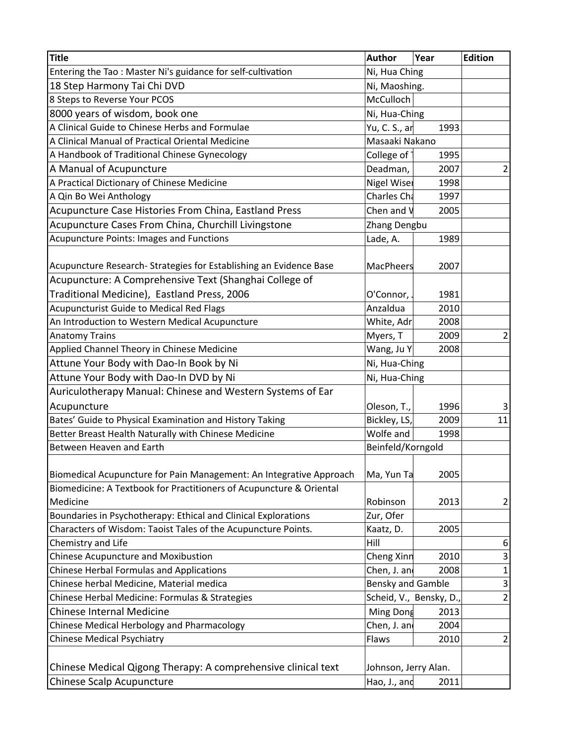| <b>Title</b>                                                        | <b>Author</b>           | Year | <b>Edition</b> |
|---------------------------------------------------------------------|-------------------------|------|----------------|
| Entering the Tao: Master Ni's guidance for self-cultivation         | Ni, Hua Ching           |      |                |
| 18 Step Harmony Tai Chi DVD                                         | Ni, Maoshing.           |      |                |
| 8 Steps to Reverse Your PCOS                                        | McCulloch               |      |                |
| 8000 years of wisdom, book one                                      | Ni, Hua-Ching           |      |                |
| A Clinical Guide to Chinese Herbs and Formulae                      | Yu, C. S., ar<br>1993   |      |                |
| A Clinical Manual of Practical Oriental Medicine                    | Masaaki Nakano          |      |                |
| A Handbook of Traditional Chinese Gynecology                        | College of<br>1995      |      |                |
| A Manual of Acupuncture                                             | Deadman,                | 2007 | $\overline{2}$ |
| A Practical Dictionary of Chinese Medicine                          | <b>Nigel Wiser</b>      | 1998 |                |
| A Qin Bo Wei Anthology                                              | Charles Cha             | 1997 |                |
| Acupuncture Case Histories From China, Eastland Press               | Chen and V              | 2005 |                |
| Acupuncture Cases From China, Churchill Livingstone                 | Zhang Dengbu            |      |                |
| Acupuncture Points: Images and Functions                            | Lade, A.                | 1989 |                |
|                                                                     |                         |      |                |
| Acupuncture Research- Strategies for Establishing an Evidence Base  | <b>MacPheers</b>        | 2007 |                |
| Acupuncture: A Comprehensive Text (Shanghai College of              |                         |      |                |
| Traditional Medicine), Eastland Press, 2006                         | O'Connor,               | 1981 |                |
| <b>Acupuncturist Guide to Medical Red Flags</b>                     | Anzaldua                | 2010 |                |
| An Introduction to Western Medical Acupuncture                      | White, Adr              | 2008 |                |
| <b>Anatomy Trains</b>                                               | Myers, T                | 2009 | $\overline{2}$ |
| Applied Channel Theory in Chinese Medicine                          | Wang, Ju Y              | 2008 |                |
| Attune Your Body with Dao-In Book by Ni                             | Ni, Hua-Ching           |      |                |
| Attune Your Body with Dao-In DVD by Ni                              | Ni, Hua-Ching           |      |                |
| Auriculotherapy Manual: Chinese and Western Systems of Ear          |                         |      |                |
| Acupuncture                                                         | Oleson, T.,             | 1996 | $\mathsf{3}$   |
| Bates' Guide to Physical Examination and History Taking             | Bickley, LS,            | 2009 | 11             |
| Better Breast Health Naturally with Chinese Medicine                | Wolfe and               | 1998 |                |
| Between Heaven and Earth                                            | Beinfeld/Korngold       |      |                |
|                                                                     |                         |      |                |
| Biomedical Acupuncture for Pain Management: An Integrative Approach | Ma, Yun Ta              | 2005 |                |
| Biomedicine: A Textbook for Practitioners of Acupuncture & Oriental |                         |      |                |
| Medicine                                                            | Robinson                | 2013 | $\overline{2}$ |
| Boundaries in Psychotherapy: Ethical and Clinical Explorations      | Zur, Ofer               |      |                |
| Characters of Wisdom: Taoist Tales of the Acupuncture Points.       | Kaatz, D.               | 2005 |                |
| Chemistry and Life                                                  | Hill                    |      | 6              |
| Chinese Acupuncture and Moxibustion                                 | Cheng Xinn              | 2010 | 3              |
| <b>Chinese Herbal Formulas and Applications</b>                     | Chen, J. and            | 2008 | $\mathbf 1$    |
| Chinese herbal Medicine, Material medica                            | Bensky and Gamble       |      | 3              |
| Chinese Herbal Medicine: Formulas & Strategies                      | Scheid, V., Bensky, D., |      | $\overline{2}$ |
| Chinese Internal Medicine                                           | Ming Dong               | 2013 |                |
| Chinese Medical Herbology and Pharmacology                          | Chen, J. and            | 2004 |                |
| <b>Chinese Medical Psychiatry</b>                                   | Flaws                   | 2010 | $\overline{2}$ |
|                                                                     |                         |      |                |
| Chinese Medical Qigong Therapy: A comprehensive clinical text       | Johnson, Jerry Alan.    |      |                |
| Chinese Scalp Acupuncture                                           | Hao, J., and            | 2011 |                |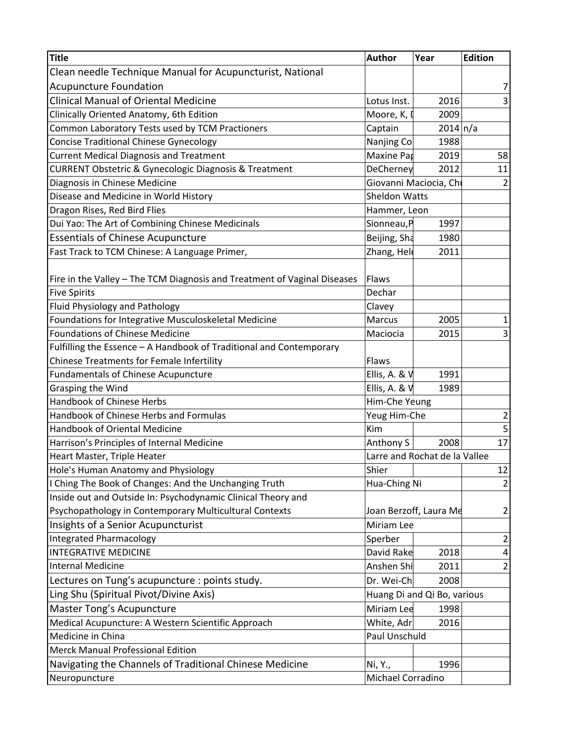| <b>Title</b>                                                             | Author                        | Year                   | <b>Edition</b> |
|--------------------------------------------------------------------------|-------------------------------|------------------------|----------------|
| Clean needle Technique Manual for Acupuncturist, National                |                               |                        |                |
| <b>Acupuncture Foundation</b>                                            |                               |                        | 7              |
| <b>Clinical Manual of Oriental Medicine</b>                              | Lotus Inst.                   | 2016                   | 3              |
| Clinically Oriented Anatomy, 6th Edition                                 | Moore, K, I                   | 2009                   |                |
| Common Laboratory Tests used by TCM Practioners                          | Captain                       | 2014 n/a               |                |
| <b>Concise Traditional Chinese Gynecology</b>                            | Nanjing Co                    | 1988                   |                |
| <b>Current Medical Diagnosis and Treatment</b>                           | Maxine Par                    | 2019                   | 58             |
| <b>CURRENT Obstetric &amp; Gynecologic Diagnosis &amp; Treatment</b>     | DeCherney                     | 2012                   | 11             |
| Diagnosis in Chinese Medicine                                            |                               | Giovanni Maciocia, Chi | $\overline{2}$ |
| Disease and Medicine in World History                                    | <b>Sheldon Watts</b>          |                        |                |
| Dragon Rises, Red Bird Flies                                             | Hammer, Leon                  |                        |                |
| Dui Yao: The Art of Combining Chinese Medicinals                         | Sionneau, P                   | 1997                   |                |
| <b>Essentials of Chinese Acupuncture</b>                                 | Beijing, Sha                  | 1980                   |                |
| Fast Track to TCM Chinese: A Language Primer,                            | Zhang, Hele                   | 2011                   |                |
|                                                                          |                               |                        |                |
| Fire in the Valley - The TCM Diagnosis and Treatment of Vaginal Diseases | Flaws                         |                        |                |
| <b>Five Spirits</b>                                                      | Dechar                        |                        |                |
| Fluid Physiology and Pathology                                           | Clavey                        |                        |                |
| Foundations for Integrative Musculoskeletal Medicine                     | Marcus                        | 2005                   | $\mathbf{1}$   |
| Foundations of Chinese Medicine                                          | Maciocia                      | 2015                   | 3              |
| Fulfilling the Essence - A Handbook of Traditional and Contemporary      |                               |                        |                |
| <b>Chinese Treatments for Female Infertility</b>                         | Flaws                         |                        |                |
| <b>Fundamentals of Chinese Acupuncture</b>                               | Ellis, A. & V                 | 1991                   |                |
| Grasping the Wind                                                        | Ellis, A. & V                 | 1989                   |                |
| Handbook of Chinese Herbs                                                | Him-Che Yeung                 |                        |                |
| Handbook of Chinese Herbs and Formulas                                   | Yeug Him-Che                  |                        | $\overline{2}$ |
| <b>Handbook of Oriental Medicine</b>                                     | Kim                           |                        | 5              |
| Harrison's Principles of Internal Medicine                               | Anthony S                     | 2008                   | 17             |
| Heart Master, Triple Heater                                              | Larre and Rochat de la Vallee |                        |                |
| Hole's Human Anatomy and Physiology                                      | Shier                         |                        | 12             |
| I Ching The Book of Changes: And the Unchanging Truth                    | Hua-Ching Ni                  |                        | $\overline{2}$ |
| Inside out and Outside In: Psychodynamic Clinical Theory and             |                               |                        |                |
| Psychopathology in Contemporary Multicultural Contexts                   |                               | Joan Berzoff, Laura Me | $\overline{2}$ |
| Insights of a Senior Acupuncturist                                       | Miriam Lee                    |                        |                |
| <b>Integrated Pharmacology</b>                                           | Sperber                       |                        | $\overline{2}$ |
| <b>INTEGRATIVE MEDICINE</b>                                              | David Rake                    | 2018                   | 4              |
| <b>Internal Medicine</b>                                                 | Anshen Shi                    | 2011                   | $\overline{2}$ |
| Lectures on Tung's acupuncture : points study.                           | Dr. Wei-Ch                    | 2008                   |                |
| Ling Shu (Spiritual Pivot/Divine Axis)                                   | Huang Di and Qi Bo, various   |                        |                |
| Master Tong's Acupuncture                                                | Miriam Lee                    | 1998                   |                |
| Medical Acupuncture: A Western Scientific Approach                       | White, Adr                    | 2016                   |                |
| Medicine in China                                                        | Paul Unschuld                 |                        |                |
| <b>Merck Manual Professional Edition</b>                                 |                               |                        |                |
| Navigating the Channels of Traditional Chinese Medicine                  | Ni, Y.,                       | 1996                   |                |
|                                                                          | Michael Corradino             |                        |                |
| Neuropuncture                                                            |                               |                        |                |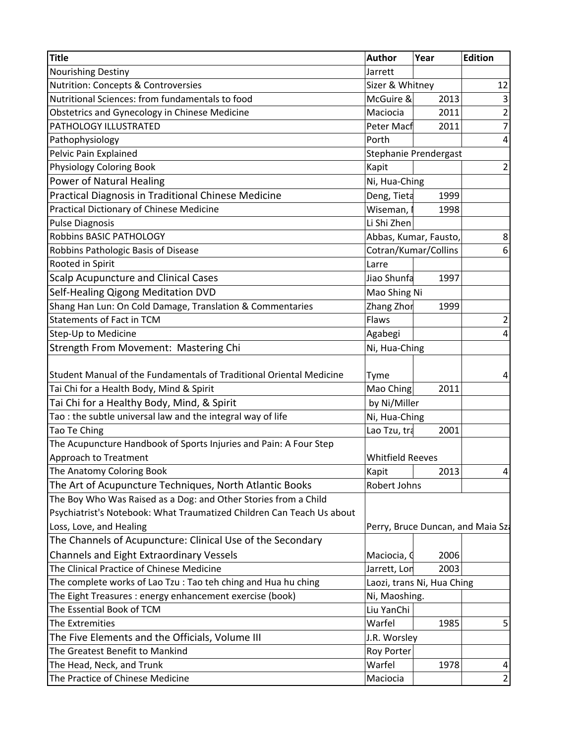| <b>Title</b>                                                          | <b>Author</b>              | Year                  | <b>Edition</b>                    |
|-----------------------------------------------------------------------|----------------------------|-----------------------|-----------------------------------|
| Nourishing Destiny                                                    | Jarrett                    |                       |                                   |
| <b>Nutrition: Concepts &amp; Controversies</b>                        | Sizer & Whitney            |                       | 12                                |
| Nutritional Sciences: from fundamentals to food                       | McGuire &                  | 2013                  | $\overline{\mathbf{3}}$           |
| <b>Obstetrics and Gynecology in Chinese Medicine</b>                  | Maciocia                   | 2011                  | $\overline{2}$                    |
| PATHOLOGY ILLUSTRATED                                                 | Peter Macf                 | 2011                  | 7                                 |
| Pathophysiology                                                       | Porth                      |                       | 4                                 |
| Pelvic Pain Explained                                                 |                            | Stephanie Prendergast |                                   |
| <b>Physiology Coloring Book</b>                                       | Kapit                      |                       | $\overline{2}$                    |
| <b>Power of Natural Healing</b>                                       | Ni, Hua-Ching              |                       |                                   |
| Practical Diagnosis in Traditional Chinese Medicine                   | Deng, Tieta                | 1999                  |                                   |
| Practical Dictionary of Chinese Medicine                              | Wiseman, I                 | 1998                  |                                   |
| <b>Pulse Diagnosis</b>                                                | Li Shi Zhen                |                       |                                   |
| Robbins BASIC PATHOLOGY                                               |                            | Abbas, Kumar, Fausto, | 8                                 |
| Robbins Pathologic Basis of Disease                                   | Cotran/Kumar/Collins       |                       | 6                                 |
| Rooted in Spirit                                                      | Larre                      |                       |                                   |
| <b>Scalp Acupuncture and Clinical Cases</b>                           | Jiao Shunfa                | 1997                  |                                   |
| Self-Healing Qigong Meditation DVD                                    | Mao Shing Ni               |                       |                                   |
| Shang Han Lun: On Cold Damage, Translation & Commentaries             | Zhang Zhor                 | 1999                  |                                   |
| <b>Statements of Fact in TCM</b>                                      | Flaws                      |                       | 2                                 |
| Step-Up to Medicine                                                   | Agabegi                    |                       | 4                                 |
| Strength From Movement: Mastering Chi                                 | Ni, Hua-Ching              |                       |                                   |
|                                                                       |                            |                       |                                   |
| Student Manual of the Fundamentals of Traditional Oriental Medicine   | Tyme                       |                       | 4                                 |
| Tai Chi for a Health Body, Mind & Spirit                              | Mao Ching                  | 2011                  |                                   |
| Tai Chi for a Healthy Body, Mind, & Spirit                            | by Ni/Miller               |                       |                                   |
| Tao: the subtle universal law and the integral way of life            | Ni, Hua-Ching              |                       |                                   |
| Tao Te Ching                                                          | Lao Tzu, tra               | 2001                  |                                   |
| The Acupuncture Handbook of Sports Injuries and Pain: A Four Step     |                            |                       |                                   |
| Approach to Treatment                                                 | <b>Whitfield Reeves</b>    |                       |                                   |
| The Anatomy Coloring Book                                             | Kapit                      | 2013                  |                                   |
| The Art of Acupuncture Techniques, North Atlantic Books               | Robert Johns               |                       |                                   |
| The Boy Who Was Raised as a Dog: and Other Stories from a Child       |                            |                       |                                   |
| Psychiatrist's Notebook: What Traumatized Children Can Teach Us about |                            |                       |                                   |
| Loss, Love, and Healing                                               |                            |                       | Perry, Bruce Duncan, and Maia Sza |
| The Channels of Acupuncture: Clinical Use of the Secondary            |                            |                       |                                   |
| <b>Channels and Eight Extraordinary Vessels</b>                       | Maciocia, G                | 2006                  |                                   |
| The Clinical Practice of Chinese Medicine                             | Jarrett, Lon               | 2003                  |                                   |
| The complete works of Lao Tzu: Tao teh ching and Hua hu ching         | Laozi, trans Ni, Hua Ching |                       |                                   |
| The Eight Treasures : energy enhancement exercise (book)              | Ni, Maoshing.              |                       |                                   |
| The Essential Book of TCM                                             | Liu YanChi                 |                       |                                   |
| The Extremities                                                       | Warfel                     | 1985                  | 5                                 |
| The Five Elements and the Officials, Volume III                       | J.R. Worsley               |                       |                                   |
| The Greatest Benefit to Mankind                                       | Roy Porter                 |                       |                                   |
| The Head, Neck, and Trunk                                             | Warfel                     | 1978                  | 4                                 |
| The Practice of Chinese Medicine                                      | Maciocia                   |                       | $\overline{2}$                    |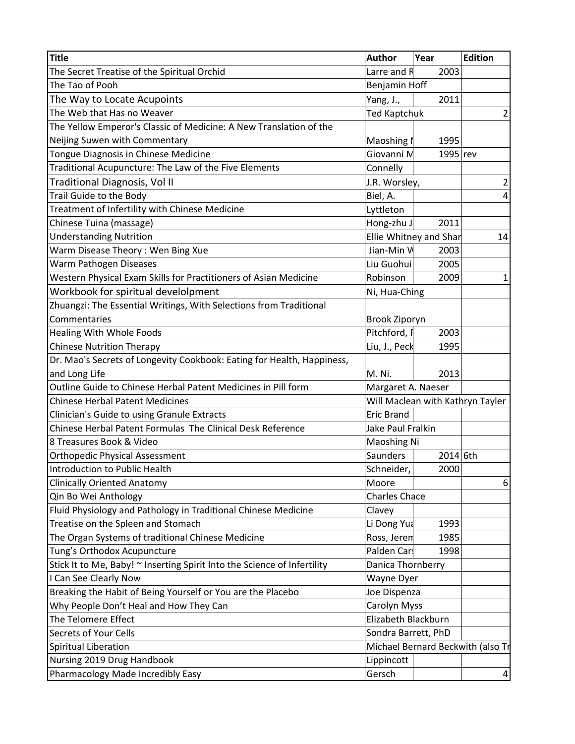| <b>Title</b>                                                             | <b>Author</b>                     | Year                             | <b>Edition</b> |
|--------------------------------------------------------------------------|-----------------------------------|----------------------------------|----------------|
| The Secret Treatise of the Spiritual Orchid                              | Larre and R                       | 2003                             |                |
| The Tao of Pooh                                                          | Benjamin Hoff                     |                                  |                |
| The Way to Locate Acupoints                                              | Yang, J.,                         | 2011                             |                |
| The Web that Has no Weaver                                               | <b>Ted Kaptchuk</b>               |                                  | $\mathbf 2$    |
| The Yellow Emperor's Classic of Medicine: A New Translation of the       |                                   |                                  |                |
| Neijing Suwen with Commentary                                            | Maoshing I                        | 1995                             |                |
| Tongue Diagnosis in Chinese Medicine                                     | Giovanni M                        | 1995 rev                         |                |
| Traditional Acupuncture: The Law of the Five Elements                    | Connelly                          |                                  |                |
| Traditional Diagnosis, Vol II                                            | J.R. Worsley,                     |                                  | $\overline{c}$ |
| Trail Guide to the Body                                                  | Biel, A.                          |                                  | 4              |
| Treatment of Infertility with Chinese Medicine                           | Lyttleton                         |                                  |                |
| Chinese Tuina (massage)                                                  | Hong-zhu J                        | 2011                             |                |
| <b>Understanding Nutrition</b>                                           |                                   | Ellie Whitney and Shar           | 14             |
| Warm Disease Theory: Wen Bing Xue                                        | Jian-Min W                        | 2003                             |                |
| Warm Pathogen Diseases                                                   | Liu Guohui                        | 2005                             |                |
| Western Physical Exam Skills for Practitioners of Asian Medicine         | Robinson                          | 2009                             | $\mathbf{1}$   |
| Workbook for spiritual develolpment                                      | Ni, Hua-Ching                     |                                  |                |
| Zhuangzi: The Essential Writings, With Selections from Traditional       |                                   |                                  |                |
| Commentaries                                                             | Brook Ziporyn                     |                                  |                |
| Healing With Whole Foods                                                 | Pitchford, I                      | 2003                             |                |
| <b>Chinese Nutrition Therapy</b>                                         | Liu, J., Peck                     | 1995                             |                |
| Dr. Mao's Secrets of Longevity Cookbook: Eating for Health, Happiness,   |                                   |                                  |                |
| and Long Life                                                            | M. Ni.                            | 2013                             |                |
| Outline Guide to Chinese Herbal Patent Medicines in Pill form            | Margaret A. Naeser                |                                  |                |
| <b>Chinese Herbal Patent Medicines</b>                                   |                                   | Will Maclean with Kathryn Tayler |                |
| Clinician's Guide to using Granule Extracts                              | <b>Eric Brand</b>                 |                                  |                |
| Chinese Herbal Patent Formulas The Clinical Desk Reference               | Jake Paul Fralkin                 |                                  |                |
| 8 Treasures Book & Video                                                 | Maoshing Ni                       |                                  |                |
| <b>Orthopedic Physical Assessment</b>                                    | Saunders                          | 2014 6th                         |                |
| Introduction to Public Health                                            | Schneider,                        | 2000                             |                |
| <b>Clinically Oriented Anatomy</b>                                       | Moore                             |                                  | 6              |
| Qin Bo Wei Anthology                                                     | <b>Charles Chace</b>              |                                  |                |
| Fluid Physiology and Pathology in Traditional Chinese Medicine           | Clavey                            |                                  |                |
| Treatise on the Spleen and Stomach                                       | Li Dong Yua                       | 1993                             |                |
| The Organ Systems of traditional Chinese Medicine                        | Ross, Jeren                       | 1985                             |                |
| Tung's Orthodox Acupuncture                                              | Palden Cars                       | 1998                             |                |
| Stick It to Me, Baby! ~ Inserting Spirit Into the Science of Infertility | Danica Thornberry                 |                                  |                |
| I Can See Clearly Now                                                    | Wayne Dyer                        |                                  |                |
| Breaking the Habit of Being Yourself or You are the Placebo              | Joe Dispenza                      |                                  |                |
| Why People Don't Heal and How They Can                                   | Carolyn Myss                      |                                  |                |
| The Telomere Effect                                                      | Elizabeth Blackburn               |                                  |                |
| Secrets of Your Cells                                                    | Sondra Barrett, PhD               |                                  |                |
| Spiritual Liberation                                                     | Michael Bernard Beckwith (also Tr |                                  |                |
| Nursing 2019 Drug Handbook                                               | Lippincott                        |                                  |                |
| Pharmacology Made Incredibly Easy                                        | Gersch                            |                                  | 4              |